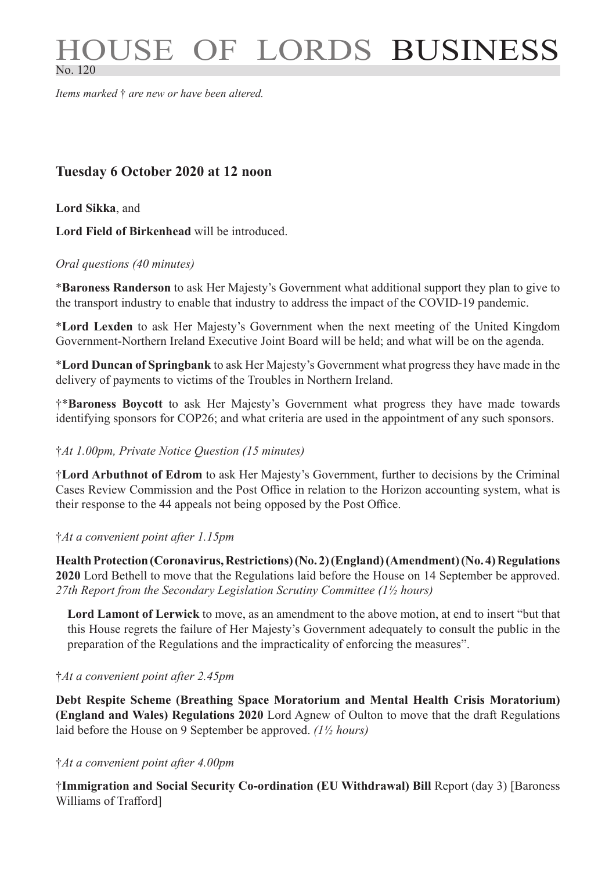# OUSE OF LORDS BUSINESS No. 120

*Items marked* † *are new or have been altered.*

## **Tuesday 6 October 2020 at 12 noon**

**Lord Sikka**, and

**Lord Field of Birkenhead** will be introduced.

#### *Oral questions (40 minutes)*

\***Baroness Randerson** to ask Her Majesty's Government what additional support they plan to give to the transport industry to enable that industry to address the impact of the COVID-19 pandemic.

\***Lord Lexden** to ask Her Majesty's Government when the next meeting of the United Kingdom Government-Northern Ireland Executive Joint Board will be held; and what will be on the agenda.

\***Lord Duncan of Springbank** to ask Her Majesty's Government what progress they have made in the delivery of payments to victims of the Troubles in Northern Ireland.

†\***Baroness Boycott** to ask Her Majesty's Government what progress they have made towards identifying sponsors for COP26; and what criteria are used in the appointment of any such sponsors.

#### †*At 1.00pm, Private Notice Question (15 minutes)*

†**Lord Arbuthnot of Edrom** to ask Her Majesty's Government, further to decisions by the Criminal Cases Review Commission and the Post Office in relation to the Horizon accounting system, what is their response to the 44 appeals not being opposed by the Post Office.

#### †*At a convenient point after 1.15pm*

**Health Protection (Coronavirus, Restrictions) (No. 2) (England) (Amendment) (No. 4) Regulations 2020** Lord Bethell to move that the Regulations laid before the House on 14 September be approved. *27th Report from the Secondary Legislation Scrutiny Committee (1½ hours)*

**Lord Lamont of Lerwick** to move, as an amendment to the above motion, at end to insert "but that this House regrets the failure of Her Majesty's Government adequately to consult the public in the preparation of the Regulations and the impracticality of enforcing the measures".

#### †*At a convenient point after 2.45pm*

**Debt Respite Scheme (Breathing Space Moratorium and Mental Health Crisis Moratorium) (England and Wales) Regulations 2020** Lord Agnew of Oulton to move that the draft Regulations laid before the House on 9 September be approved. *(1½ hours)*

#### †*At a convenient point after 4.00pm*

†**Immigration and Social Security Co-ordination (EU Withdrawal) Bill** Report (day 3) [Baroness Williams of Trafford]